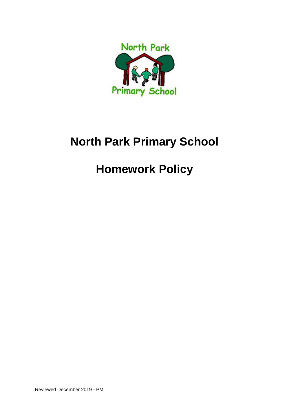

# **North Park Primary School**

# **Homework Policy**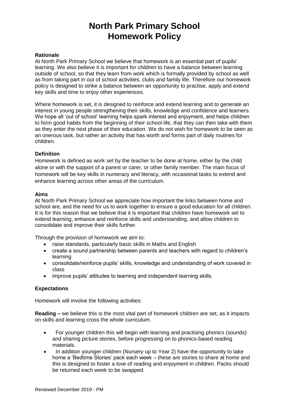# **North Park Primary School Homework Policy**

# **Rationale**

At North Park Primary School we believe that homework is an essential part of pupils' learning. We also believe it is important for children to have a balance between learning outside of school, so that they learn from work which is formally provided by school as well as from taking part in out of school activities, clubs and family life. Therefore our homework policy is designed to strike a balance between an opportunity to practise, apply and extend key skills and time to enjoy other experiences.

Where homework is set, it is designed to reinforce and extend learning and to generate an interest in young people strengthening their skills, knowledge and confidence and learners. We hope all 'out of school' learning helps spark interest and enjoyment, and helps children to form good habits from the beginning of their school life, that they can then take with them as they enter the next phase of their education. We do not wish for homework to be seen as an onerous task, but rather an activity that has worth and forms part of daily routines for children.

# **Definition**

Homework is defined as work set by the teacher to be done at home, either by the child alone or with the support of a parent or carer, or other family member. The main focus of homework will be key skills in numeracy and literacy, with occasional tasks to extend and enhance learning across other areas of the curriculum.

# **Aims**

At North Park Primary School we appreciate how important the links between home and school are, and the need for us to work together to ensure a good education for all children. It is for this reason that we believe that it is important that children have homework set to extend learning, enhance and reinforce skills and understanding, and allow children to consolidate and improve their skills further.

Through the provision of homework we aim to:

- raise standards, particularly basic skills in Maths and English
- create a sound partnership between parents and teachers with regard to children's learning
- consolidate/reinforce pupils' skills, knowledge and understanding of work covered in class
- improve pupils' attitudes to learning and independent learning skills.

# **Expectations**

Homework will involve the following activities:

**Reading –** we believe this is the most vital part of homework children are set, as it impacts on skills and learning cross the whole curriculum.

- For younger children this will begin with learning and practising phonics (sounds) and sharing picture stories, before progressing on to phonics-based reading materials.
- In addition younger children (Nursery up to Year 2) have the opportunity to take home a 'Bedtime Stories' pack each week – these are stories to share at home and this is designed to foster a love of reading and enjoyment in children. Packs should be returned each week to be swapped.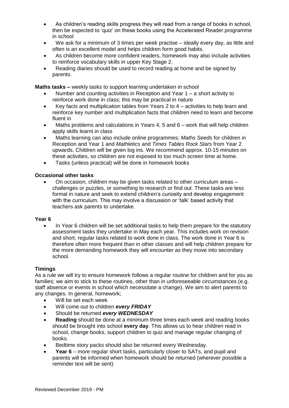- As children's reading skills progress they will read from a range of books in school, then be expected to 'quiz' on these books using the Accelerated Reader programme in school
- We ask for a minimum of 3 times per week practise ideally every day, as little and often is an excellent model and helps children form good habits.
- As children become more confident readers, homework may also include activities to reinforce vocabulary skills in upper Key Stage 2.
- Reading diaries should be used to record reading at home and be signed by parents.

**Maths tasks –** weekly tasks to support learning undertaken in school

- Number and counting activities in Reception and Year 1 a short activity to reinforce work done in class; this may be practical in nature
- $\bullet$  Key facts and multiplication tables from Years 2 to 4 activities to help learn and reinforce key number and multiplication facts that children need to learn and become fluent in
- Maths problems and calculations in Years 4, 5 and 6 work that will help children apply skills learnt in class
- Maths learning can also include online programmes; *Maths Seeds* for children in Reception and Year 1 and *Mathletics* and *Times Tables Rock Stars* from Year 2 upwards. Children will be given log ins. We recommend approx. 10-15 minutes on these activities, so children are not exposed to too much screen time at home.
- Tasks (unless practical) will be done in homework books

#### **Occasional other tasks**

 On occasion, children may be given tasks related to other curriculum areas – challenges or puzzles, or something to research or find out. These tasks are less formal in nature and seek to extend children's curiosity and develop engagement with the curriculum. This may involve a discussion or 'talk' based activity that teachers ask parents to undertake.

#### **Year 6**

• In Year 6 children will be set additional tasks to help them prepare for the statutory assessment tasks they undertake in May each year. This includes work on revision and short, regular tasks related to work done in class. The work done in Year 6 is therefore often more frequent than in other classes and will help children prepare for the more demanding homework they will encounter as they move into secondary school.

#### **Timings**

As a rule we will try to ensure homework follows a regular routine for children and for you as families; we aim to stick to these routines, other than in unforeseeable circumstances (e.g. staff absence or events in school which necessitate a change). We aim to alert parents to any changes. In general, homework;

- Will be set each week
- Will come out to children *every FRIDAY*
- Should be returned *every WEDNESDAY*
- **Reading** should be done at a minimum three times each week and reading books should be brought into school **every day**. This allows us to hear children read in school, change books, support children to quiz and manage regular changing of books.
- Bedtime story packs should also be returned every Wednesday.
- **Year 6** more regular short tasks, particularly closer to SATs, and pupil and parents will be informed when homework should be returned (wherever possible a reminder text will be sent)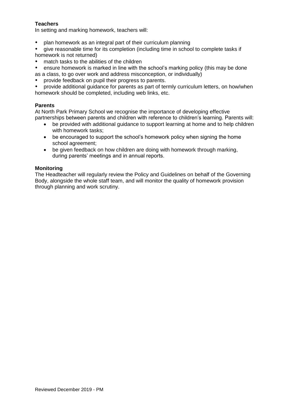# **Teachers**

In setting and marking homework, teachers will:

plan homework as an integral part of their curriculum planning

 give reasonable time for its completion (including time in school to complete tasks if homework is not returned)

- match tasks to the abilities of the children
- ensure homework is marked in line with the school's marking policy (this may be done
- as a class, to go over work and address misconception, or individually)
- provide feedback on pupil their progress to parents.

 provide additional guidance for parents as part of termly curriculum letters, on how/when homework should be completed, including web links, etc.

#### **Parents**

At North Park Primary School we recognise the importance of developing effective partnerships between parents and children with reference to children's learning. Parents will:

- be provided with additional guidance to support learning at home and to help children with homework tasks;
- be encouraged to support the school's homework policy when signing the home school agreement;
- be given feedback on how children are doing with homework through marking, during parents' meetings and in annual reports.

#### **Monitoring**

The Headteacher will regularly review the Policy and Guidelines on behalf of the Governing Body, alongside the whole staff team, and will monitor the quality of homework provision through planning and work scrutiny.